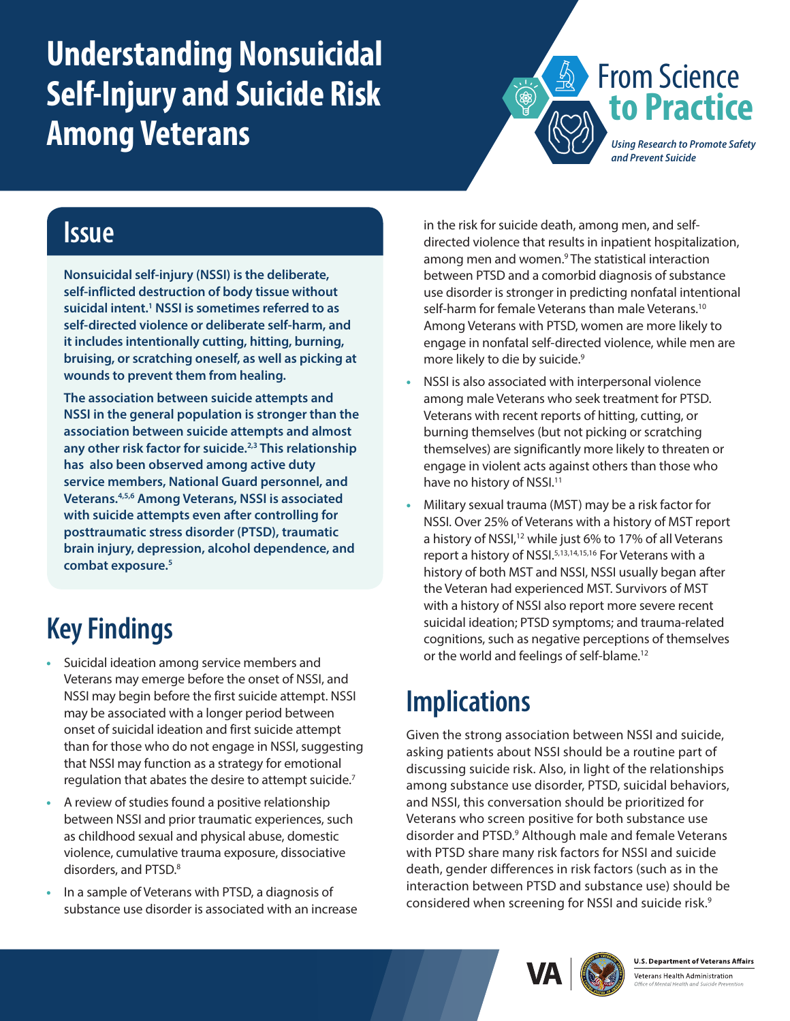# <span id="page-0-0"></span>**Understanding Nonsuicidal Self-Injury and Suicide Risk Among Veterans**



### **Issue**

**Nonsuicidal self-injury (NSSI) is the deliberate, self-inflicted destruction of body tissue without suicidal intent[.1](#page-1-0) NSSI is sometimes referred to as self-directed violence or deliberate self-harm, and it includes intentionally cutting, hitting, burning, bruising, or scratching oneself, as well as picking at wounds to prevent them from healing.** 

**The association between suicide attempts and NSSI in the general population is stronger than the association between suicide attempts and almost any other risk factor for suicide.[2,3](#page-1-0) This relationship has also been observed among active duty service members, National Guard personnel, and Veterans.[4,5,6](#page-1-0) Among Veterans, NSSI is associated with suicide attempts even after controlling for posttraumatic stress disorder (PTSD), traumatic brain injury, depression, alcohol dependence, and combat exposure[.5](#page-1-1)**

# **Key Findings**

- **•** Suicidal ideation among service members and Veterans may emerge before the onset of NSSI, and NSSI may begin before the first suicide attempt. NSSI may be associated with a longer period between onset of suicidal ideation and first suicide attempt than for those who do not engage in NSSI, suggesting that NSSI may function as a strategy for emotional regulation that abates the desire to attempt suicide.[7](#page-1-0)
- **•** A review of studies found a positive relationship between NSSI and prior traumatic experiences, such as childhood sexual and physical abuse, domestic violence, cumulative trauma exposure, dissociative disorders, and PTSD.<sup>[8](#page-1-0)</sup>
- **•** In a sample of Veterans with PTSD, a diagnosis of substance use disorder is associated with an increase

in the risk for suicide death, among men, and selfdirected violence that results in inpatient hospitalization, among men and women.<sup>9</sup> The statistical interaction between PTSD and a comorbid diagnosis of substance use disorder is stronger in predicting nonfatal intentional self-harm for female Veterans than male Veterans.<sup>10</sup> Among Veterans with PTSD, women are more likely to engage in nonfatal self-directed violence, while men are more likely to die by suicide.<sup>9</sup>

- **•** NSSI is also associated with interpersonal violence among male Veterans who seek treatment for PTSD. Veterans with recent reports of hitting, cutting, or burning themselves (but not picking or scratching themselves) are significantly more likely to threaten or engage in violent acts against others than those who have no history of NSSI.<sup>[11](#page-1-0)</sup>
- **•** Military sexual trauma (MST) may be a risk factor for NSSI. Over 25% of Veterans with a history of MST report a history of NSSI,<sup>12</sup> while just 6% to 17% of all Veterans report a history of NSSI.[5](#page-1-1)[,13,14,15,16](#page-1-0) For Veterans with a history of both MST and NSSI, NSSI usually began after the Veteran had experienced MST. Survivors of MST with a history of NSSI also report more severe recent suicidal ideation; PTSD symptoms; and trauma-related cognitions, such as negative perceptions of themselves or the world and feelings of self-blame[.12](#page-1-3)

## **Implications**

Given the strong association between NSSI and suicide, asking patients about NSSI should be a routine part of discussing suicide risk. Also, in light of the relationships among substance use disorder, PTSD, suicidal behaviors, and NSSI, this conversation should be prioritized for Veterans who screen positive for both substance use disorder and PTSD.<sup>9</sup> Although male and female Veterans with PTSD share many risk factors for NSSI and suicide death, gender differences in risk factors (such as in the interaction between PTSD and substance use) should be considered when screening for NSSI and suicide risk.[9](#page-1-2)



**U.S. Department of Veterans Affairs**